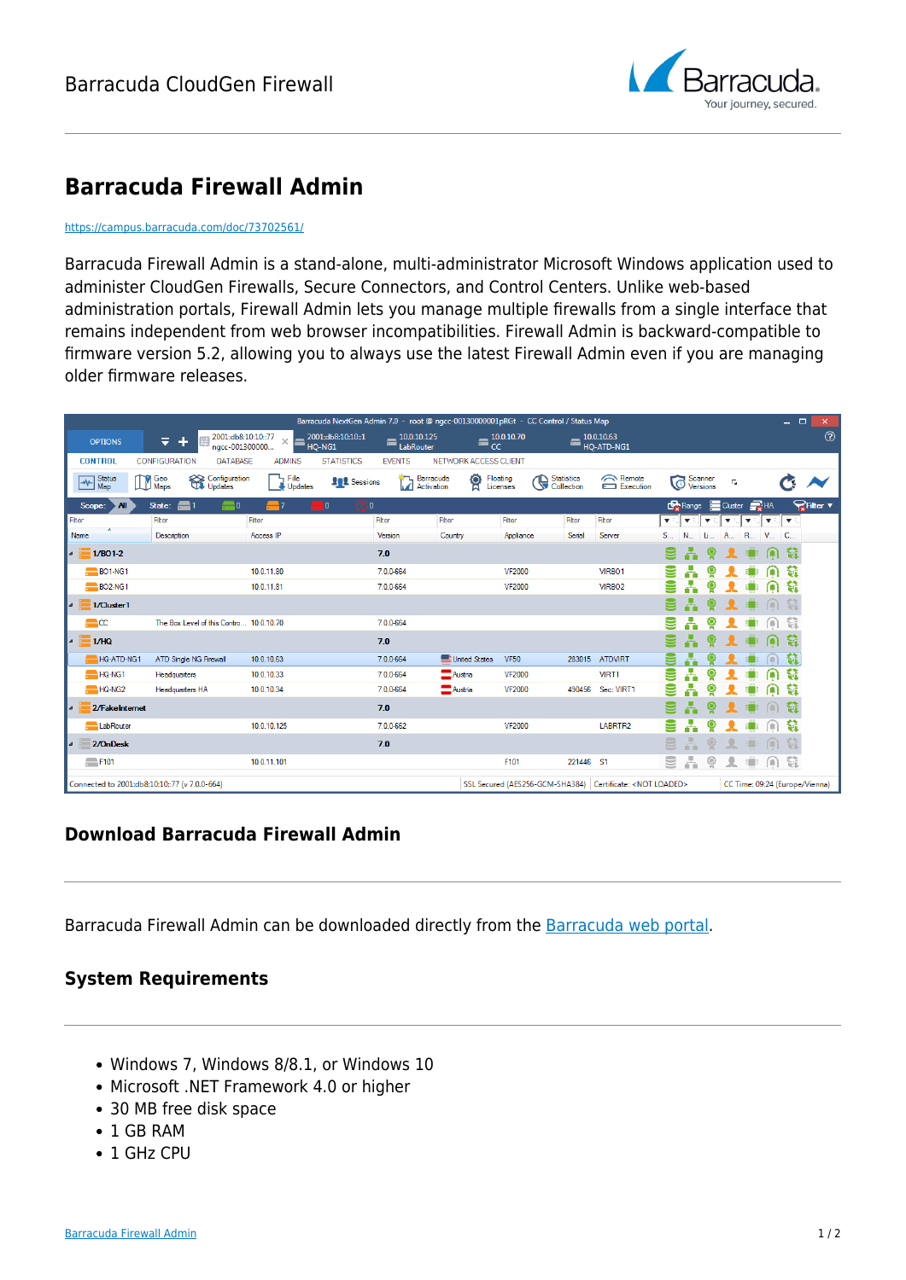

# **Barracuda Firewall Admin**

#### <https://campus.barracuda.com/doc/73702561/>

Barracuda Firewall Admin is a stand-alone, multi-administrator Microsoft Windows application used to administer CloudGen Firewalls, Secure Connectors, and Control Centers. Unlike web-based administration portals, Firewall Admin lets you manage multiple firewalls from a single interface that remains independent from web browser incompatibilities. Firewall Admin is backward-compatible to firmware version 5.2, allowing you to always use the latest Firewall Admin even if you are managing older firmware releases.

| Barracuda NextGen Admin 7.0 - root @ ngcc-00130000001pRGt - CC Control / Status Map |                                           |                  |                            |                                      |                       |                                                                      |                                 |                          |                               |                            |                                |                         | $\blacksquare$<br>- | ×                |  |
|-------------------------------------------------------------------------------------|-------------------------------------------|------------------|----------------------------|--------------------------------------|-----------------------|----------------------------------------------------------------------|---------------------------------|--------------------------|-------------------------------|----------------------------|--------------------------------|-------------------------|---------------------|------------------|--|
| <b>OPTIONS</b>                                                                      | 2001:db8:10:10::77<br>╤<br>nacc-001300000 | ×.<br>F          | 2001:db8:10:10:1<br>HQ-NG1 | 10.0.10.125<br>$\equiv$<br>LabRouter | cc                    | 10.0.10.70                                                           |                                 | 10.0.10.63<br>HO-ATD-NG1 |                               |                            |                                |                         |                     | $\circledR$      |  |
| <b>CONTROL</b>                                                                      | <b>CONFIGURATION</b><br><b>DATABASE</b>   | <b>ADMINS</b>    | <b>STATISTICS</b>          | <b>EVENTS</b>                        | NETWORK ACCESS CLIENT |                                                                      |                                 |                          |                               |                            |                                |                         |                     |                  |  |
| <b>Status</b><br>⇜<br>Map                                                           | Geo<br>Maps<br>Configuration<br>Updates   | File<br>Updates  | <b>102</b> Sessions        | Barracuda<br>Activation              | ବୁ                    | Floating<br>Licenses                                                 | <b>Statistics</b><br>Collection | Remote<br>Execution      | $\widehat{\circ}$             | Scanner<br><b>Versions</b> | $\overline{\Gamma_{\rm M}}$    |                         |                     |                  |  |
| Scope:<br>All                                                                       | $\equiv$ 0<br>State:<br><b>e</b>          | $\blacksquare$ 7 | i O<br>-10                 |                                      |                       |                                                                      |                                 |                          | <b>Co</b> Range               |                            | Cluster                        | $\frac{1}{2}$ HA        |                     | <b>PR</b> Filter |  |
| Filter                                                                              | Filter                                    | Filter           |                            | Filter                               | Filter                | Filter                                                               | Filter                          | Filter                   | ▼ミ<br>$\overline{\mathbf{v}}$ | $\blacktriangledown$       | $\overline{\mathbf{v}}$        | $\overline{\mathbf{v}}$ | $\mathbf{v}$        |                  |  |
| Name                                                                                | Description                               | Access IP        |                            | Version                              | Country               | Appliance                                                            | Serial                          | Server                   | $S_{\dots}$<br>$N_{\cdots}$   | u.                         | A                              | R<br>$V_{\cdots}$       | <b>C.</b>           |                  |  |
| ▎▘<br>$1/BO1-2$                                                                     |                                           |                  |                            | 7.0                                  |                       |                                                                      |                                 |                          |                               |                            |                                |                         |                     |                  |  |
| BO1-NG1                                                                             |                                           | 10.0.11.80       |                            | 7.0.0-664                            |                       | <b>VF2000</b>                                                        |                                 | VIRBO1                   |                               |                            |                                |                         |                     |                  |  |
| BO <sub>2</sub> -NG1                                                                |                                           | 10.0.11.81       |                            | 7.0.0-664                            |                       | <b>VF2000</b>                                                        |                                 | VIRBO <sub>2</sub>       |                               |                            |                                |                         | G                   |                  |  |
| $\overline{a}$<br>1/Cluster1                                                        |                                           |                  |                            |                                      |                       |                                                                      |                                 |                          |                               |                            |                                |                         |                     |                  |  |
| $1CC$                                                                               | The Box Level of this Contro 10.0.10.70   |                  |                            | 7.0.0-664                            |                       |                                                                      |                                 |                          |                               |                            |                                |                         |                     |                  |  |
| l⊿ i<br>1/HQ                                                                        |                                           |                  |                            | 7.0                                  |                       |                                                                      |                                 |                          |                               |                            |                                |                         |                     |                  |  |
| HQ-ATD-NG1                                                                          | <b>ATD Single NG Firewall</b>             | 10.0.10.63       |                            | 7.0.0-664                            | United States         | <b>VF50</b>                                                          |                                 | 283015 ATDVIRT           |                               |                            |                                |                         |                     |                  |  |
| HQ-NG1                                                                              | Headquarters                              | 10.0.10.33       |                            | 7.0.0-664                            | Austria               | <b>VF2000</b>                                                        |                                 | VIRT1                    |                               |                            |                                |                         |                     |                  |  |
| HQ-NG2                                                                              | Headquarters HA                           | 10.0.10.34       |                            | 7.0.0-664                            | $A$ ustria            | <b>VF2000</b>                                                        |                                 | 490456 Sec: VIRT1        |                               |                            |                                |                         | Ħ                   |                  |  |
| 2/FakeInternet<br>$\overline{a}$                                                    |                                           |                  |                            | 7.0                                  |                       |                                                                      |                                 |                          |                               |                            |                                |                         | ۵đ                  |                  |  |
| LabRouter                                                                           |                                           | 10.0.10.125      |                            | 7.0.0-662                            |                       | <b>VF2000</b>                                                        |                                 | LABRTR2                  |                               |                            |                                |                         | W                   |                  |  |
| 2/OnDesk<br><b>A</b>                                                                |                                           |                  |                            | 7.0                                  |                       |                                                                      |                                 |                          |                               |                            |                                | m                       |                     |                  |  |
| F101                                                                                |                                           | 10.0.11.101      |                            |                                      |                       | F101                                                                 | 221446 S1                       |                          | å.<br>9                       |                            |                                |                         | Ъî                  |                  |  |
| Connected to 2001:db8:10:10::77 (v 7.0.0-664)                                       |                                           |                  |                            |                                      |                       | SSL Secured (AES256-GCM-SHA384)   Certificate: <not loaded=""></not> |                                 |                          |                               |                            | CC Time: 09:24 (Europe/Vienna) |                         |                     |                  |  |

### **Download Barracuda Firewall Admin**

Barracuda Firewall Admin can be downloaded directly from the [Barracuda web portal.](http://login.barracuda.com/)

## **System Requirements**

- Windows 7, Windows 8/8.1, or Windows 10
- Microsoft .NET Framework 4.0 or higher
- 30 MB free disk space
- 1 GB RAM
- 1 GHz CPU